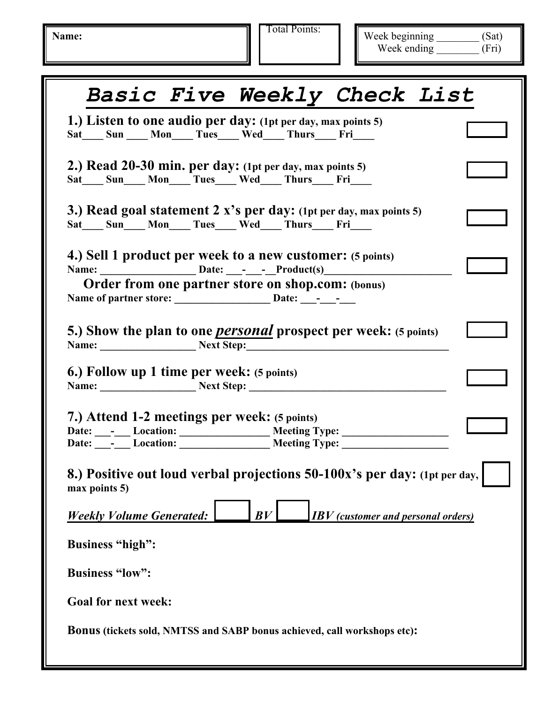Name: **Name:** Total Points:

Week beginning \_\_\_\_\_\_\_\_ (Sat) Week ending (Fri)

| <b>Basic Five Weekly Check List</b>                                                                                 |  |
|---------------------------------------------------------------------------------------------------------------------|--|
| 1.) Listen to one audio per day: (1pt per day, max points 5)<br>Sat___Sun ___Mon___Tues___Wed___Thurs___Fri___      |  |
| 2.) Read 20-30 min. per day: (1pt per day, max points 5)<br>Sat___Sun___Mon___Tues___Wed___Thurs___Fri___           |  |
| 3.) Read goal statement 2 x's per day: (1pt per day, max points 5)<br>Sat___Sun___Mon___Tues___Wed___Thurs___Fri___ |  |
| 4.) Sell 1 product per week to a new customer: (5 points)<br>Order from one partner store on shop.com: (bonus)      |  |
| 5.) Show the plan to one <i>personal</i> prospect per week: (5 points)<br>Name: Next Step:                          |  |
| <b>6.) Follow up 1 time per week:</b> (5 points)<br>Name: Next Step:                                                |  |
| 7.) Attend 1-2 meetings per week: (5 points)                                                                        |  |
| 8.) Positive out loud verbal projections 50-100x's per day: (1pt per day,<br>max points 5)                          |  |
| <b>Weekly Volume Generated:</b><br>BV<br><b>IBV</b> (customer and personal orders)                                  |  |
| <b>Business "high":</b>                                                                                             |  |
| <b>Business "low":</b>                                                                                              |  |
| <b>Goal for next week:</b>                                                                                          |  |
| <b>Bonus (tickets sold, NMTSS and SABP bonus achieved, call workshops etc):</b>                                     |  |
|                                                                                                                     |  |